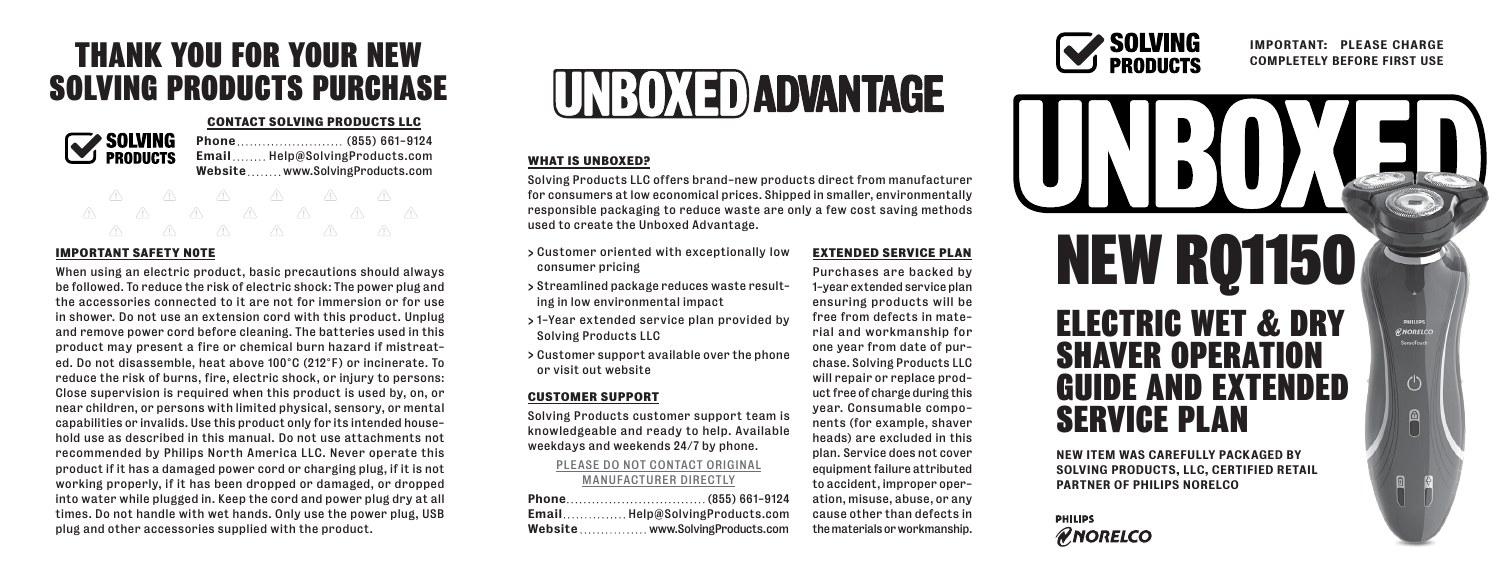# THANK YOU FOR YOUR NEW SOLVING PRODUCTS PURCHASE

#### **CONTACT SOLVING PRODUCTS LLC**



Phone ... ... ... ... ... ... ... . (855) 661-9124 Email........ Help@SolvingProducts.com Website........www.SolvingProducts.com

# **IMPORTANT SAFETY N0TE**

When using an electric product, basic precautions should always be followed. To reduce the risk of electric shock: The power plug and the accessories connected to it are not for immersion or for use in shower. Do not use an extension cord with this product. Unplug and remove power cord before cleaning. The batteries used in this product may present a fire or chemical burn hazard if mistreated. Do not disassemble, heat above 100°C (212°F) or incinerate. To reduce the risk of burns, fire, electric shock, or injury to persons: Close supervision is required when this product is used by, on, or near children, or persons with limited physical, sensory, or mental capabilities or invalids. Use this product only for its intended household use as described in this manual. Do not use attachments not recommended by Philips North America LLC. Never operate this product if it has a damaged power cord or charging plug, if it is not working properly, if it has been dropped or damaged, or dropped into water while plugged in. Keep the cord and power plug dry at all times. Do not handle with wet hands. Only use the power plug, USB plug and other accessories supplied with the product.



#### **WHAT IS UNBOXED?**

Solving Products LLC offers brand-new products direct from manufacturer for consumers at low economical prices. Shipped in smaller, environmentally responsible packaging to reduce waste are only a few cost saving methods used to create the Unboxed Advantage.

- > Customer oriented with exceptionally low consumer pricing
- > Streamlined package reduces waste resulting in low environmental impact
- > 1-Year extended service plan provided by Solving Products LLC
- > Customer support available over the phone or visit out website

### **CUSTOMER SUPPORT**

Solving Products customer support team is knowledgeable and ready to help. Available weekdays and weekends 24/7 by phone.

#### PLEASE DO NOT CONTACT ORIGINAL MANUFACTURER DIRECTLY

| EmailHelp@SolvingProducts.com   |
|---------------------------------|
| Website www.SolvingProducts.com |

**EXTENDED SERVICE PLAN** Purchases are backed by 1-year extended service plan ensuring products will be free from defects in material and workmanship for one year from date of purchase. Solving Products LLC will repair or replace product free of charge during this year. Consumable components (for example, shaver heads) are excluded in this plan. Service does not cover equipment failure attributed to accident, improper operation, misuse, abuse, or any cause other than defects in the materials or workmanship.



## IMPORTANT: PLEASE CHARGE COMPLETELY BEFORE FIRST USE



**PHILIPS RNORELCO** 

PARTNER OF PHILIPS NORELCO